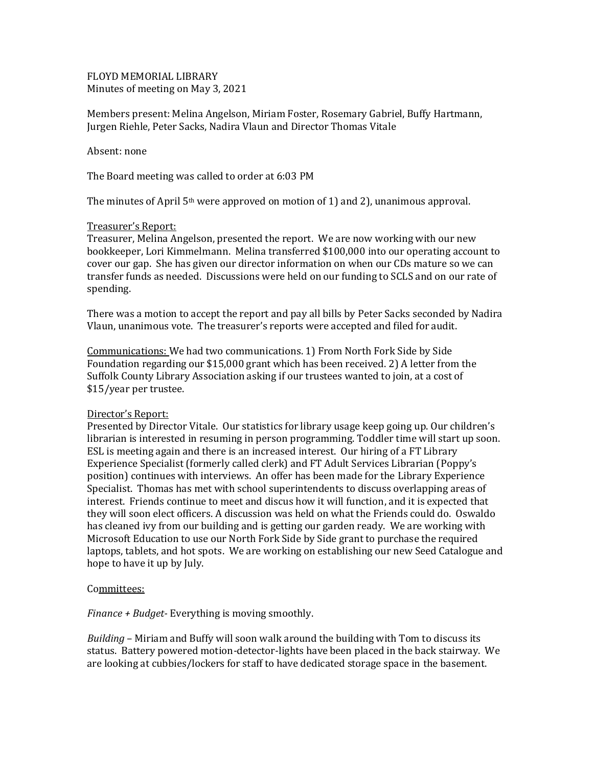FLOYD MEMORIAL LIBRARY Minutes of meeting on May 3, 2021

Members present: Melina Angelson, Miriam Foster, Rosemary Gabriel, Buffy Hartmann, Jurgen Riehle, Peter Sacks, Nadira Vlaun and Director Thomas Vitale

Absent: none

The Board meeting was called to order at 6:03 PM

The minutes of April  $5<sup>th</sup>$  were approved on motion of 1) and 2), unanimous approval.

## Treasurer's Report:

Treasurer, Melina Angelson, presented the report. We are now working with our new bookkeeper, Lori Kimmelmann. Melina transferred \$100,000 into our operating account to cover our gap. She has given our director information on when our CDs mature so we can transfer funds as needed. Discussions were held on our funding to SCLS and on our rate of spending.

There was a motion to accept the report and pay all bills by Peter Sacks seconded by Nadira Vlaun, unanimous vote. The treasurer's reports were accepted and filed for audit.

Communications: We had two communications. 1) From North Fork Side by Side Foundation regarding our \$15,000 grant which has been received. 2) A letter from the Suffolk County Library Association asking if our trustees wanted to join, at a cost of \$15/year per trustee.

## Director's Report:

Presented by Director Vitale. Our statistics for library usage keep going up. Our children's librarian is interested in resuming in person programming. Toddler time will start up soon. ESL is meeting again and there is an increased interest. Our hiring of a FT Library Experience Specialist (formerly called clerk) and FT Adult Services Librarian (Poppy's position) continues with interviews. An offer has been made for the Library Experience Specialist. Thomas has met with school superintendents to discuss overlapping areas of interest. Friends continue to meet and discus how it will function, and it is expected that they will soon elect officers. A discussion was held on what the Friends could do. Oswaldo has cleaned ivy from our building and is getting our garden ready. We are working with Microsoft Education to use our North Fork Side by Side grant to purchase the required laptops, tablets, and hot spots. We are working on establishing our new Seed Catalogue and hope to have it up by July.

## Committees:

*Finance + Budget-* Everything is moving smoothly.

*Building* – Miriam and Buffy will soon walk around the building with Tom to discuss its status. Battery powered motion-detector-lights have been placed in the back stairway. We are looking at cubbies/lockers for staff to have dedicated storage space in the basement.